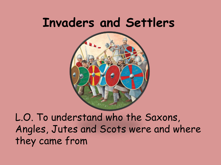### **Invaders and Settlers**



L.O. To understand who the Saxons, Angles, Jutes and Scots were and where they came from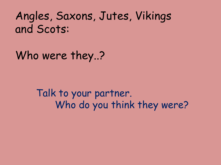#### Angles, Saxons, Jutes, Vikings and Scots:

Who were they..?

Talk to your partner. Who do you think they were?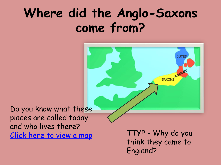### **Where did the Anglo-Saxons come from?**

**JUTES** SAXONS ANGLES

Do you know what these places are called today and who lives there? [Click here to view a map](http://www.greece-map.net/europe/europe-map.gif) TTYP - Why do you

think they came to England?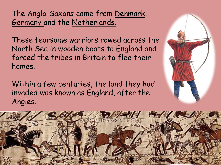The Anglo-Saxons came from Denmark, Germany and the Netherlands.

These fearsome warriors rowed across the North Sea in wooden boats to England and forced the tribes in Britain to flee their homes.

Within a few centuries, the land they had invaded was known as England, after the Angles.



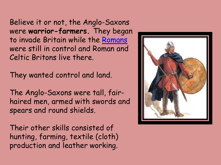Believe it or not, the Anglo-Saxons were **warrior-farmers.** They began to invade Britain while the [Romans](http://primaryhomeworkhelp.co.uk/Romans.html) were still in control and Roman and Celtic Britons live there.

They wanted control and land.

The Anglo-Saxons were tall, fairhaired men, armed with swords and spears and round shields.

Their other skills consisted of hunting, farming, textile (cloth) production and leather working.

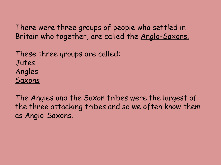There were three groups of people who settled in Britain who together, are called the Anglo-Saxons.

These three groups are called: Jutes Angles Saxons

The Angles and the Saxon tribes were the largest of the three attacking tribes and so we often know them as Anglo-Saxons.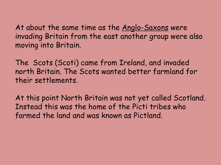At about the same time as the <u>Anglo-Saxons</u> were invading Britain from the east another group were also moving into Britain.

The Scots (Scoti) came from Ireland, and invaded north Britain. The Scots wanted better farmland for their settlements.

At this point North Britain was not yet called Scotland. Instead this was the home of the Picti tribes who farmed the land and was known as Pictland.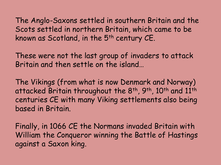The Anglo-Saxons settled in southern Britain and the Scots settled in northern Britain, which came to be known as Scotland, in the 5<sup>th</sup> century CE.

These were not the last group of invaders to attack Britain and then settle on the island…

The Vikings (from what is now Denmark and Norway) attacked Britain throughout the 8<sup>th</sup>, 9<sup>th</sup>, 10<sup>th</sup> and 11<sup>th</sup> centuries CE with many Viking settlements also being based in Britain.

Finally, in 1066 CE the Normans invaded Britain with William the Conqueror winning the Battle of Hastings against a Saxon king.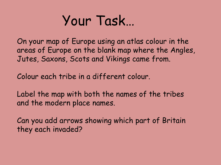## Your Task…

On your map of Europe using an atlas colour in the areas of Europe on the blank map where the Angles, Jutes, Saxons, Scots and Vikings came from.

Colour each tribe in a different colour.

Label the map with both the names of the tribes and the modern place names.

Can you add arrows showing which part of Britain they each invaded?